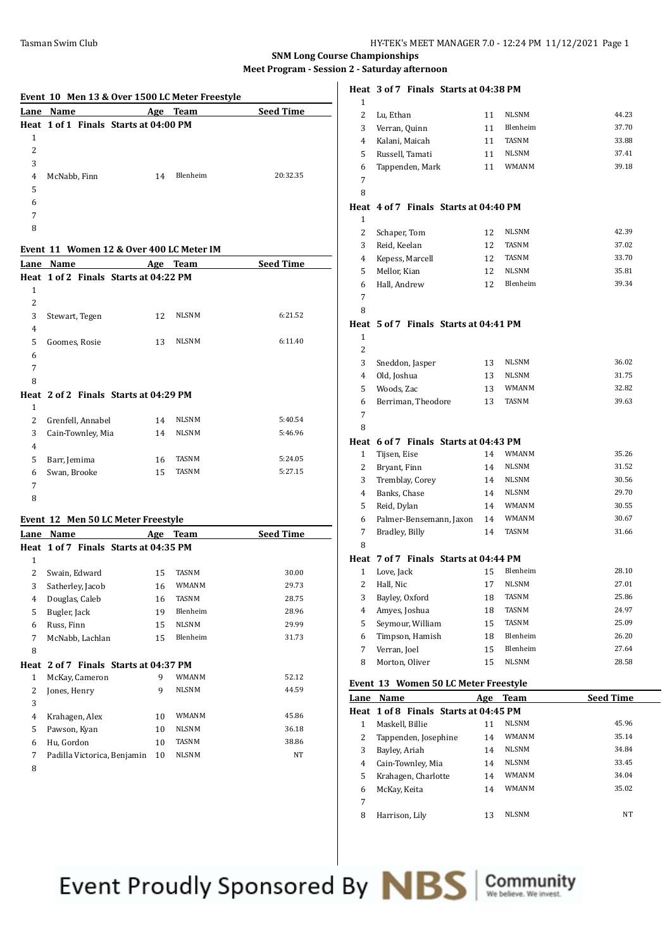| Event 10 Men 13 & Over 1500 LC Meter Freestyle |                                       |     |             |                  |
|------------------------------------------------|---------------------------------------|-----|-------------|------------------|
| Lane                                           | Name                                  | Age | <b>Team</b> | <b>Seed Time</b> |
|                                                | Heat 1 of 1 Finals Starts at 04:00 PM |     |             |                  |
| 1                                              |                                       |     |             |                  |
| 2                                              |                                       |     |             |                  |
| 3                                              |                                       |     |             |                  |
| 4                                              | McNabb, Finn                          | 14  | Blenheim    | 20:32.35         |
| 5                                              |                                       |     |             |                  |
| 6                                              |                                       |     |             |                  |
| 7                                              |                                       |     |             |                  |
| 8                                              |                                       |     |             |                  |

### **Event 11 Women 12 & Over 400 LC Meter IM**

| Lane           | <b>Name</b>                           |    | Age Team     | <b>Seed Time</b> |
|----------------|---------------------------------------|----|--------------|------------------|
|                | Heat 1 of 2 Finals Starts at 04:22 PM |    |              |                  |
| $\mathbf{1}$   |                                       |    |              |                  |
| $\overline{2}$ |                                       |    |              |                  |
| 3              | Stewart, Tegen                        | 12 | <b>NLSNM</b> | 6:21.52          |
| $\overline{4}$ |                                       |    |              |                  |
| 5              | Goomes, Rosie                         | 13 | <b>NLSNM</b> | 6:11.40          |
| 6              |                                       |    |              |                  |
| 7              |                                       |    |              |                  |
| 8              |                                       |    |              |                  |
|                | Heat 2 of 2 Finals Starts at 04:29 PM |    |              |                  |
| $\mathbf{1}$   |                                       |    |              |                  |
| 2              | Grenfell, Annabel                     | 14 | <b>NLSNM</b> | 5:40.54          |
| 3              | Cain-Townley, Mia                     | 14 | <b>NLSNM</b> | 5:46.96          |
| $\overline{4}$ |                                       |    |              |                  |
| 5              | Barr, Jemima                          | 16 | <b>TASNM</b> | 5:24.05          |
| 6              | Swan, Brooke                          | 15 | TASNM        | 5:27.15          |
| 7              |                                       |    |              |                  |
| 8              |                                       |    |              |                  |

## **Event 12 Men 50 LC Meter Freestyle**

| Lane         | Name                                  | Age | <b>Team</b>  | <b>Seed Time</b> |
|--------------|---------------------------------------|-----|--------------|------------------|
|              | Heat 1 of 7 Finals Starts at 04:35 PM |     |              |                  |
| 1            |                                       |     |              |                  |
| 2            | Swain, Edward                         | 15  | TASNM        | 30.00            |
| 3            | Satherley, Jacob                      | 16  | <b>WMANM</b> | 29.73            |
| 4            | Douglas, Caleb                        | 16  | TASNM        | 28.75            |
| 5            | Bugler, Jack                          | 19  | Blenheim     | 28.96            |
| 6            | Russ, Finn                            | 15  | <b>NLSNM</b> | 29.99            |
| 7            | McNabb, Lachlan                       | 15  | Blenheim     | 31.73            |
| 8            |                                       |     |              |                  |
| Heat         | 2 of 7 Finals Starts at 04:37 PM      |     |              |                  |
| $\mathbf{1}$ | McKay, Cameron                        | 9   | <b>WMANM</b> | 52.12            |
| 2            | Jones, Henry                          | 9   | <b>NLSNM</b> | 44.59            |
| 3            |                                       |     |              |                  |
| 4            | Krahagen, Alex                        | 10  | <b>WMANM</b> | 45.86            |
| 5            | Pawson, Kyan                          | 10  | <b>NLSNM</b> | 36.18            |
| 6            | Hu, Gordon                            | 10  | TASNM        | 38.86            |
| 7            | Padilla Victorica, Benjamin           | 10  | <b>NLSNM</b> | NT               |
| 8            |                                       |     |              |                  |

# **Heat 3 of 7 Finals Starts at 04:38 PM**

|              | Lane Name                             |          | Age Team              | <b>Seed Time</b> |
|--------------|---------------------------------------|----------|-----------------------|------------------|
|              | Event 13 Women 50 LC Meter Freestyle  |          |                       |                  |
| 8            |                                       |          |                       |                  |
|              | Morton, Oliver                        | 15       | NLSNM                 | 28.58            |
| 7            | Verran, Joel                          | 15       | Blenheim              | 27.64            |
| 6            | Timpson, Hamish                       | 18       | Blenheim              | 26.20            |
| 5            | Amyes, Joshua<br>Seymour, William     | 15       | TASNM                 | 25.09            |
| 4            | Bayley, Oxford                        | 18<br>18 | TASNM                 | 24.97            |
| 2<br>3       | Hall, Nic                             | 17       | TASNM                 | 25.86            |
| 1            | Love, Jack                            | 15       | Blenheim<br>NLSNM     | 27.01            |
|              | Heat 7 of 7 Finals Starts at 04:44 PM |          |                       | 28.10            |
| 8            |                                       |          |                       |                  |
| 7            | Bradley, Billy                        | 14       | TASNM                 | 31.66            |
| 6            | Palmer-Bensemann, Jaxon               | 14       | <b>WMANM</b>          | 30.67            |
| 5            | Reid, Dylan                           | 14       |                       |                  |
| 4            | Banks, Chase                          | 14       | NLSNM<br><b>WMANM</b> | 30.55            |
| 3            | Tremblay, Corey                       | 14       | NLSNM                 | 30.56<br>29.70   |
| 2            | Bryant, Finn                          |          | <b>NLSNM</b>          | 31.52            |
| $\mathbf{1}$ | Tijsen, Eise                          | 14<br>14 |                       |                  |
|              | Heat 6 of 7 Finals Starts at 04:43 PM |          | <b>WMANM</b>          | 35.26            |
| 8            |                                       |          |                       |                  |
| 7            |                                       |          |                       |                  |
| 6            | Berriman, Theodore                    | 13       | TASNM                 | 39.63            |
| 5            | Woods, Zac                            | 13       | <b>WMANM</b>          | 32.82            |
| 4            | Old, Joshua                           | 13       | <b>NLSNM</b>          | 31.75            |
| 3            | Sneddon, Jasper                       | 13       | <b>NLSNM</b>          | 36.02            |
| 2            |                                       |          |                       |                  |
| 1            |                                       |          |                       |                  |
| Heat         | 5 of 7 Finals Starts at 04:41 PM      |          |                       |                  |
| 8            |                                       |          |                       |                  |
| 7            |                                       |          |                       |                  |
| 6            | Hall, Andrew                          | 12       | Blenheim              | 39.34            |
| 5            | Mellor, Kian                          | 12       | <b>NLSNM</b>          | 35.81            |
| 4            | Kepess, Marcell                       | 12       | TASNM                 | 33.70            |
| 3            | Reid, Keelan                          | 12       | TASNM                 | 37.02            |
| 2            | Schaper, Tom                          | 12       | NLSNM                 | 42.39            |
| 1            |                                       |          |                       |                  |
| Heat         | 4 of 7 Finals Starts at 04:40 PM      |          |                       |                  |
| 8            |                                       |          |                       |                  |
| 7            |                                       |          |                       |                  |
| 6            | Tappenden, Mark                       | 11       | <b>WMANM</b>          | 39.18            |
| 5            | Russell, Tamati                       | 11       | <b>NLSNM</b>          | 37.41            |
| 4            | Kalani, Maicah                        | 11       | <b>TASNM</b>          | 33.88            |
| 3            | Verran, Quinn                         | 11       | Blenheim              | 37.70            |
| 2            | Lu, Ethan                             | 11       | <b>NLSNM</b>          | 44.23            |
| 1            |                                       |          |                       |                  |

| Lane | <b>Name</b>                           | Age | <b>Team</b>  | <b>Seed Time</b> |
|------|---------------------------------------|-----|--------------|------------------|
|      | Heat 1 of 8 Finals Starts at 04:45 PM |     |              |                  |
| 1    | Maskell, Billie                       | 11  | <b>NLSNM</b> | 45.96            |
| 2    | Tappenden, Josephine                  | 14  | <b>WMANM</b> | 35.14            |
| 3    | Bayley, Ariah                         | 14  | <b>NLSNM</b> | 34.84            |
| 4    | Cain-Townley, Mia                     | 14  | <b>NLSNM</b> | 33.45            |
| 5    | Krahagen, Charlotte                   | 14  | <b>WMANM</b> | 34.04            |
| 6    | McKay, Keita                          | 14  | <b>WMANM</b> | 35.02            |
| 7    |                                       |     |              |                  |
| 8    | Harrison, Lily                        | 13  | <b>NLSNM</b> | <b>NT</b>        |
|      |                                       |     |              |                  |

Event Proudly Sponsored By **NBS** Community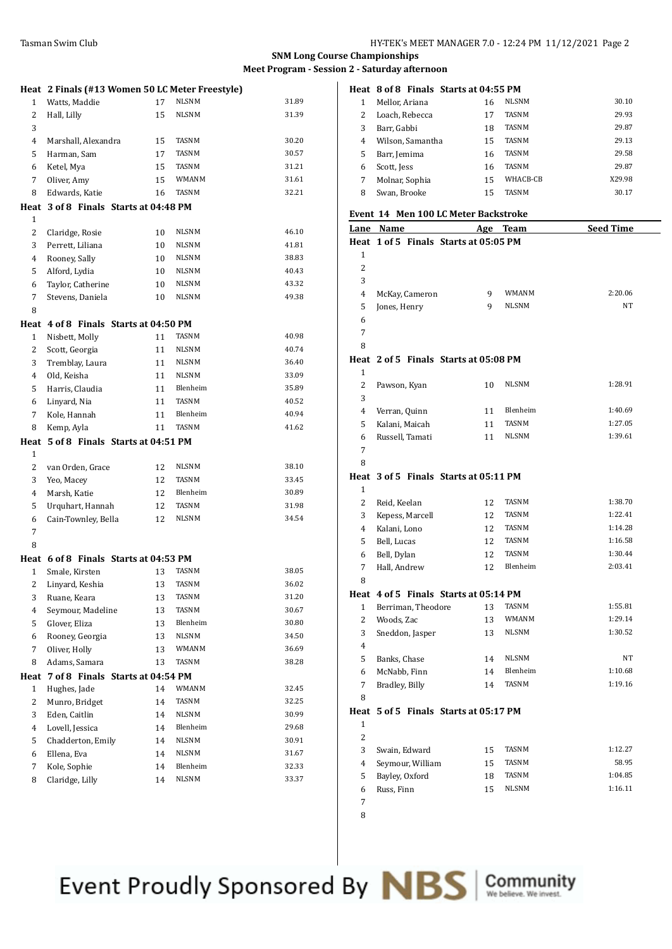|                | Heat 2 Finals (#13 Women 50 LC Meter Freestyle) |    |              |       |
|----------------|-------------------------------------------------|----|--------------|-------|
| $\mathbf{1}$   | Watts, Maddie                                   | 17 | NLSNM        | 31.89 |
| 2              | Hall, Lilly                                     | 15 | NLSNM        | 31.39 |
| 3              |                                                 |    |              |       |
| 4              | Marshall, Alexandra                             | 15 | TASNM        | 30.20 |
| 5              | Harman, Sam                                     | 17 | TASNM        | 30.57 |
| 6              | Ketel, Mya                                      | 15 | <b>TASNM</b> | 31.21 |
| 7              | Oliver, Amy                                     | 15 | <b>WMANM</b> | 31.61 |
| 8              | Edwards, Katie                                  | 16 | <b>TASNM</b> | 32.21 |
| Heat           | 3 of 8 Finals Starts at 04:48 PM                |    |              |       |
| $\mathbf{1}$   |                                                 |    |              |       |
| 2              | Claridge, Rosie                                 | 10 | NLSNM        | 46.10 |
| 3              | Perrett, Liliana                                | 10 | NLSNM        | 41.81 |
| $\overline{4}$ | Rooney, Sally                                   | 10 | NLSNM        | 38.83 |
| 5              | Alford, Lydia                                   | 10 | NLSNM        | 40.43 |
| 6              | Taylor, Catherine                               | 10 | NLSNM        | 43.32 |
| 7              | Stevens, Daniela                                | 10 | NLSNM        | 49.38 |
| 8              |                                                 |    |              |       |
|                | Heat 4 of 8 Finals Starts at 04:50 PM           |    |              |       |
| 1              | Nisbett, Molly                                  | 11 | TASNM        | 40.98 |
| 2              | Scott, Georgia                                  | 11 | <b>NLSNM</b> | 40.74 |
| 3              | Tremblay, Laura                                 | 11 | <b>NLSNM</b> | 36.40 |
| $\overline{4}$ | Old, Keisha                                     | 11 | <b>NLSNM</b> | 33.09 |
| 5              | Harris, Claudia                                 | 11 | Blenheim     | 35.89 |
| 6              | Linyard, Nia                                    | 11 | TASNM        | 40.52 |
| 7              | Kole, Hannah                                    | 11 | Blenheim     | 40.94 |
| 8              | Kemp, Ayla                                      | 11 | TASNM        | 41.62 |
|                | Heat 5 of 8 Finals Starts at 04:51 PM           |    |              |       |
| $\mathbf{1}$   |                                                 |    |              |       |
| 2              | van Orden, Grace                                | 12 | NLSNM        | 38.10 |
| 3              | Yeo, Macey                                      | 12 | <b>TASNM</b> | 33.45 |
|                |                                                 |    | Blenheim     | 30.89 |
| 4              | Marsh, Katie                                    | 12 |              |       |
| 5              | Urquhart, Hannah                                | 12 | <b>TASNM</b> | 31.98 |
| 6              | Cain-Townley, Bella                             | 12 | NLSNM        | 34.54 |
| 7              |                                                 |    |              |       |
| 8              |                                                 |    |              |       |
|                | Heat 6 of 8 Finals Starts at 04:53 PM           |    |              |       |
| 1              | Smale, Kirsten                                  | 13 | <b>TASNM</b> | 38.05 |
| 2              | Linyard, Keshia                                 | 13 | TASNM        | 36.02 |
| 3              | Ruane, Keara                                    | 13 | TASNM        | 31.20 |
| 4              | Seymour, Madeline                               | 13 | TASNM        | 30.67 |
| 5              | Glover, Eliza                                   | 13 | Blenheim     | 30.80 |
| 6              | Rooney, Georgia                                 | 13 | <b>NLSNM</b> | 34.50 |
| 7              | Oliver, Holly                                   | 13 | WMANM        | 36.69 |
| 8              | Adams, Samara                                   | 13 | TASNM        | 38.28 |
| Heat           | 7 of 8 Finals Starts at 04:54 PM                |    |              |       |
| 1              | Hughes, Jade                                    | 14 | WMANM        | 32.45 |
| $\overline{c}$ | Munro, Bridget                                  | 14 | TASNM        | 32.25 |
| 3              | Eden, Caitlin                                   | 14 | NLSNM        | 30.99 |
| 4              | Lovell, Jessica                                 | 14 | Blenheim     | 29.68 |
| 5              | Chadderton, Emily                               | 14 | NLSNM        | 30.91 |
| 6              | Ellena, Eva                                     | 14 | NLSNM        | 31.67 |
| 7              | Kole, Sophie                                    | 14 | Blenheim     | 32.33 |
| 8              | Claridge, Lilly                                 | 14 | <b>NLSNM</b> | 33.37 |

### **Heat 8 of 8 Finals Starts at 04:55 PM**

|   | Mellor, Ariana   | 16 | <b>NLSNM</b> | 30.10  |
|---|------------------|----|--------------|--------|
| 2 | Loach, Rebecca   | 17 | <b>TASNM</b> | 29.93  |
| 3 | Barr, Gabbi      | 18 | <b>TASNM</b> | 29.87  |
| 4 | Wilson, Samantha | 15 | <b>TASNM</b> | 29.13  |
| 5 | Barr, Jemima     | 16 | <b>TASNM</b> | 29.58  |
| 6 | Scott, Jess      | 16 | <b>TASNM</b> | 29.87  |
| 7 | Molnar, Sophia   | 15 | WHACB-CB     | X29.98 |
| 8 | Swan, Brooke     | 15 | <b>TASNM</b> | 30.17  |

#### **Event 14 Men 100 LC Meter Backstroke**

|                | <u>Lane Name</u>                      |    | Age Team     | <b>Seed Time</b> |
|----------------|---------------------------------------|----|--------------|------------------|
|                | Heat 1 of 5 Finals Starts at 05:05 PM |    |              |                  |
| $\mathbf{1}$   |                                       |    |              |                  |
| $\overline{2}$ |                                       |    |              |                  |
| 3              |                                       |    |              |                  |
| $\overline{4}$ | McKay, Cameron                        | 9  | <b>WMANM</b> | 2:20.06          |
| 5              | Jones, Henry                          | 9  | <b>NLSNM</b> | NT               |
| 6              |                                       |    |              |                  |
| 7              |                                       |    |              |                  |
| 8              |                                       |    |              |                  |
|                | Heat 2 of 5 Finals Starts at 05:08 PM |    |              |                  |
| 1              |                                       |    |              |                  |
| 2              | Pawson, Kyan                          | 10 | <b>NLSNM</b> | 1:28.91          |
| 3              |                                       |    |              |                  |
| 4              | Verran, Quinn                         | 11 | Blenheim     | 1:40.69          |
| 5              | Kalani, Maicah                        | 11 | <b>TASNM</b> | 1:27.05          |
| 6              | Russell, Tamati                       | 11 | <b>NLSNM</b> | 1:39.61          |
| 7              |                                       |    |              |                  |
| 8              |                                       |    |              |                  |
|                | Heat 3 of 5 Finals Starts at 05:11 PM |    |              |                  |
| 1              |                                       |    |              |                  |
| 2              | Reid, Keelan                          | 12 | TASNM        | 1:38.70          |
| 3              | Kepess, Marcell                       | 12 | TASNM        | 1:22.41          |
| 4              | Kalani, Lono                          | 12 | TASNM        | 1:14.28          |
| 5              | Bell, Lucas                           | 12 | TASNM        | 1:16.58          |
| 6              | Bell, Dylan                           | 12 | TASNM        | 1:30.44          |
| 7              | Hall, Andrew                          | 12 | Blenheim     | 2:03.41          |
| 8              |                                       |    |              |                  |
|                | Heat 4 of 5 Finals Starts at 05:14 PM |    |              |                  |
| $\mathbf{1}$   | Berriman, Theodore                    | 13 | TASNM        | 1:55.81          |
| 2              | Woods, Zac                            | 13 | WMANM        | 1:29.14          |
| 3              | Sneddon, Jasper                       | 13 | NLSNM        | 1:30.52          |
| 4              |                                       |    |              |                  |
| 5              | Banks, Chase                          | 14 | NLSNM        | NT               |
| 6              | McNabb, Finn                          | 14 | Blenheim     | 1:10.68          |
| 7              | Bradley, Billy                        | 14 | TASNM        | 1:19.16          |
| 8              |                                       |    |              |                  |
|                | Heat 5 of 5 Finals Starts at 05:17 PM |    |              |                  |
| 1              |                                       |    |              |                  |
| 2              |                                       |    |              |                  |
| 3              | Swain, Edward                         | 15 | TASNM        | 1:12.27          |
| $\overline{4}$ | Seymour, William                      | 15 | TASNM        | 58.95            |
| 5              | Bayley, Oxford                        | 18 | TASNM        | 1:04.85          |
| 6              | Russ, Finn                            | 15 | <b>NLSNM</b> | 1:16.11          |
| 7              |                                       |    |              |                  |

Event Proudly Sponsored By NBS SCommunity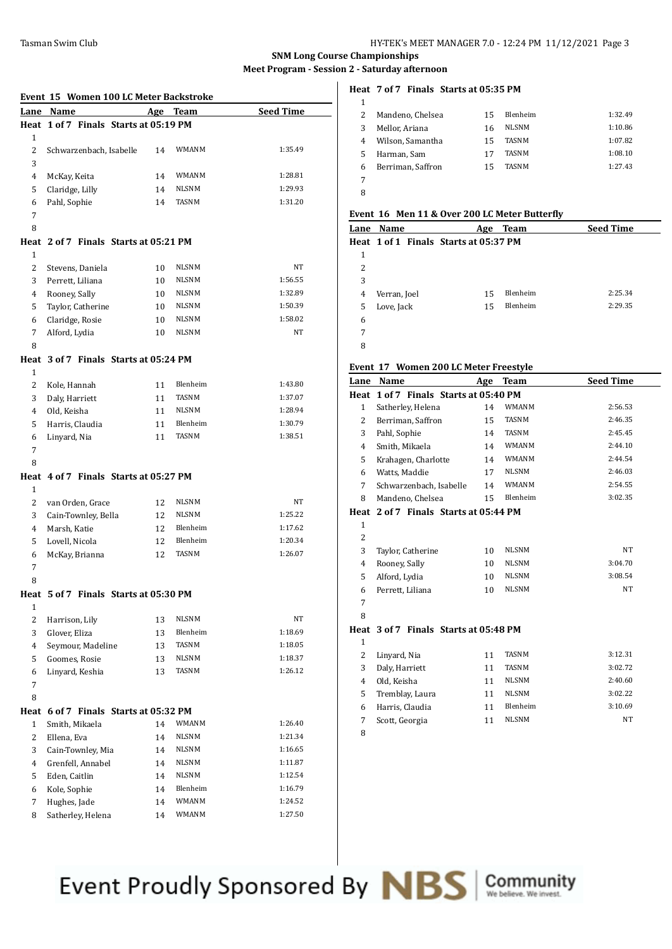|              | Event 15 Women 100 LC Meter Backstroke |          |                       |                    |
|--------------|----------------------------------------|----------|-----------------------|--------------------|
|              | Lane Name                              | Age      | <b>Team</b>           | <b>Seed Time</b>   |
|              | Heat 1 of 7 Finals Starts at 05:19 PM  |          |                       |                    |
| 1            |                                        |          |                       |                    |
| 2            | Schwarzenbach, Isabelle                | 14       | WMANM                 | 1:35.49            |
| 3            |                                        |          |                       |                    |
| 4            | McKay, Keita                           | 14       | <b>WMANM</b>          | 1:28.81            |
| 5            | Claridge, Lilly                        | 14       | <b>NLSNM</b>          | 1:29.93            |
| 6            | Pahl, Sophie                           | 14       | <b>TASNM</b>          | 1:31.20            |
| 7            |                                        |          |                       |                    |
| 8            |                                        |          |                       |                    |
|              | Heat 2 of 7 Finals Starts at 05:21 PM  |          |                       |                    |
| 1            |                                        |          |                       |                    |
| 2            | Stevens, Daniela                       | 10       | NLSNM                 | NT                 |
| 3            | Perrett, Liliana                       | 10       | <b>NLSNM</b>          | 1:56.55            |
| 4            | Rooney, Sally                          | 10       | <b>NLSNM</b>          | 1:32.89            |
| 5            | Taylor, Catherine                      | 10       | <b>NLSNM</b>          | 1:50.39            |
| 6            | Claridge, Rosie                        | 10       | <b>NLSNM</b>          | 1:58.02            |
| 7            | Alford, Lydia                          | 10       | <b>NLSNM</b>          | NT                 |
| 8            |                                        |          |                       |                    |
|              | Heat 3 of 7 Finals Starts at 05:24 PM  |          |                       |                    |
| $\mathbf{1}$ |                                        |          |                       |                    |
| 2            | Kole, Hannah                           | 11       | Blenheim              | 1:43.80            |
| 3            | Daly, Harriett                         | 11       | <b>TASNM</b>          | 1:37.07            |
| 4            | Old, Keisha                            | 11       | <b>NLSNM</b>          | 1:28.94            |
| 5            | Harris, Claudia                        | 11       | Blenheim              | 1:30.79            |
| 6            | Linyard, Nia                           | 11       | <b>TASNM</b>          | 1:38.51            |
| 7            |                                        |          |                       |                    |
| 8            |                                        |          |                       |                    |
|              | Heat 4 of 7 Finals Starts at 05:27 PM  |          |                       |                    |
| 1            |                                        |          |                       |                    |
| 2            | van Orden, Grace                       | 12       | NLSNM                 | NT                 |
| 3            | Cain-Townley, Bella                    | 12       | NLSNM                 | 1:25.22            |
| 4            | Marsh, Katie                           | 12       | <b>Blenheim</b>       | 1:17.62            |
| 5            | Lovell, Nicola                         | 12       | <b>Blenheim</b>       | 1:20.34            |
| 6            | McKay, Brianna                         | 12       | <b>TASNM</b>          | 1:26.07            |
| 7            |                                        |          |                       |                    |
| 8            |                                        |          |                       |                    |
|              | Heat 5 of 7 Finals Starts at 05:30 PM  |          |                       |                    |
| 1            |                                        |          |                       |                    |
| 2            | Harrison, Lily                         | 13       | <b>NLSNM</b>          | NT                 |
| 3            | Glover, Eliza                          | 13       | Blenheim              | 1:18.69            |
| 4            | Seymour, Madeline                      | 13       | <b>TASNM</b>          | 1:18.05            |
| 5            | Goomes, Rosie                          | 13       | NLSNM                 | 1:18.37            |
| 6            | Linyard, Keshia                        | 13       | TASNM                 | 1:26.12            |
| 7            |                                        |          |                       |                    |
| 8            |                                        |          |                       |                    |
|              | Heat 6 of 7 Finals Starts at 05:32 PM  |          |                       |                    |
| $\mathbf{1}$ | Smith, Mikaela                         | 14       | <b>WMANM</b><br>NLSNM | 1:26.40<br>1:21.34 |
| 2<br>3       | Ellena, Eva                            | 14       | NLSNM                 | 1:16.65            |
| 4            | Cain-Townley, Mia<br>Grenfell, Annabel | 14       | NLSNM                 | 1:11.87            |
| 5            | Eden, Caitlin                          | 14<br>14 | NLSNM                 | 1:12.54            |
| 6            | Kole, Sophie                           | 14       | Blenheim              | 1:16.79            |
| 7            | Hughes, Jade                           | 14       | WMANM                 | 1:24.52            |
| 8            | Satherley, Helena                      | 14       | <b>WMANM</b>          | 1:27.50            |

### **Heat 7 of 7 Finals Starts at 05:35 PM**

| 1 |                   |    |              |         |
|---|-------------------|----|--------------|---------|
| 2 | Mandeno, Chelsea  | 15 | Blenheim     | 1:32.49 |
| 3 | Mellor, Ariana    | 16 | <b>NLSNM</b> | 1:10.86 |
| 4 | Wilson, Samantha  | 15 | <b>TASNM</b> | 1:07.82 |
| 5 | Harman, Sam       | 17 | <b>TASNM</b> | 1:08.10 |
| 6 | Berriman, Saffron | 15 | <b>TASNM</b> | 1:27.43 |
|   |                   |    |              |         |
| 8 |                   |    |              |         |

### **Event 16 Men 11 & Over 200 LC Meter Butterfly**

| Lane | Name                                  | Age | <b>Team</b> | <b>Seed Time</b> |
|------|---------------------------------------|-----|-------------|------------------|
|      | Heat 1 of 1 Finals Starts at 05:37 PM |     |             |                  |
| 1    |                                       |     |             |                  |
| 2    |                                       |     |             |                  |
| 3    |                                       |     |             |                  |
| 4    | Verran, Joel                          | 15  | Blenheim    | 2:25.34          |
| 5    | Love, Jack                            | 15  | Blenheim    | 2:29.35          |
| 6    |                                       |     |             |                  |
| 7    |                                       |     |             |                  |
| 8    |                                       |     |             |                  |

## **Event 17 Women 200 LC Meter Freestyle**

| Lane           | Name                             | Age | Team         | <b>Seed Time</b> |
|----------------|----------------------------------|-----|--------------|------------------|
| Heat           | 1 of 7 Finals Starts at 05:40 PM |     |              |                  |
| 1              | Satherley, Helena                | 14  | WMANM        | 2:56.53          |
| 2              | Berriman, Saffron                | 15  | <b>TASNM</b> | 2:46.35          |
| 3              | Pahl, Sophie                     | 14  | TASNM        | 2:45.45          |
| 4              | Smith, Mikaela                   | 14  | <b>WMANM</b> | 2:44.10          |
| 5              | Krahagen, Charlotte              | 14  | <b>WMANM</b> | 2:44.54          |
| 6              | Watts, Maddie                    | 17  | <b>NLSNM</b> | 2:46.03          |
| 7              | Schwarzenbach, Isabelle          | 14  | <b>WMANM</b> | 2:54.55          |
| 8              | Mandeno, Chelsea                 | 15  | Blenheim     | 3:02.35          |
| Heat           | 2 of 7 Finals Starts at 05:44 PM |     |              |                  |
| $\mathbf{1}$   |                                  |     |              |                  |
| $\overline{2}$ |                                  |     |              |                  |
| 3              | Taylor, Catherine                | 10  | <b>NLSNM</b> | <b>NT</b>        |
| $\overline{4}$ | Rooney, Sally                    | 10  | <b>NLSNM</b> | 3:04.70          |
| 5              | Alford, Lydia                    | 10  | <b>NLSNM</b> | 3:08.54          |
| 6              | Perrett, Liliana                 | 10  | <b>NLSNM</b> | <b>NT</b>        |
| 7              |                                  |     |              |                  |
| 8              |                                  |     |              |                  |
| Heat           | 3 of 7 Finals Starts at 05:48 PM |     |              |                  |
| $\mathbf{1}$   |                                  |     |              |                  |
| 2              | Linyard, Nia                     | 11  | <b>TASNM</b> | 3:12.31          |
| 3              | Daly, Harriett                   | 11  | <b>TASNM</b> | 3:02.72          |
| 4              | Old, Keisha                      | 11  | <b>NLSNM</b> | 2:40.60          |
| 5              | Tremblay, Laura                  | 11  | <b>NLSNM</b> | 3:02.22          |
| 6              | Harris, Claudia                  | 11  | Blenheim     | 3:10.69          |
| 7              | Scott, Georgia                   | 11  | <b>NLSNM</b> | NT               |
| 8              |                                  |     |              |                  |
|                |                                  |     |              |                  |

Event Proudly Sponsored By **NBS** Scommunity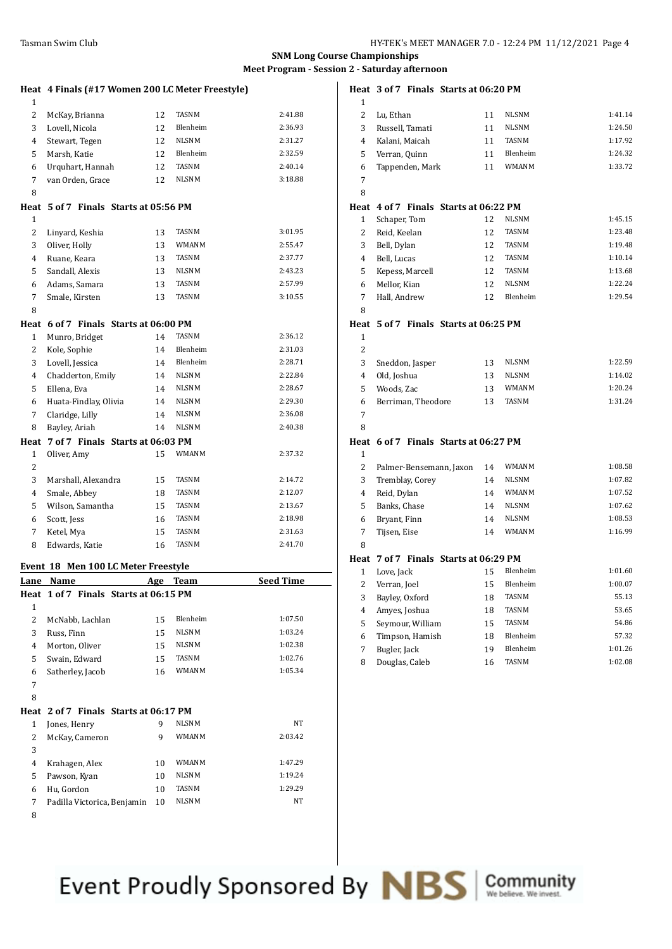**Heat 3 of 7 Finals Starts at 06:20 PM**

# **SNM Long Course Championships Meet Program - Session 2 - Saturday afternoon**

|                   |                                                  |    |                       | 1.1001110 <sub>0</sub><br> |  |
|-------------------|--------------------------------------------------|----|-----------------------|----------------------------|--|
|                   | Heat 4 Finals (#17 Women 200 LC Meter Freestyle) |    |                       |                            |  |
| $\mathbf{1}$<br>2 | McKay, Brianna                                   | 12 | <b>TASNM</b>          | 2:41.88                    |  |
| 3                 | Lovell, Nicola                                   | 12 | Blenheim              | 2:36.93                    |  |
| 4                 | Stewart, Tegen                                   | 12 | NLSNM                 | 2:31.27                    |  |
| 5                 | Marsh, Katie                                     | 12 | Blenheim              | 2:32.59                    |  |
| 6                 | Urquhart, Hannah                                 | 12 | TASNM                 | 2:40.14                    |  |
| 7                 | van Orden, Grace                                 | 12 | NLSNM                 | 3:18.88                    |  |
| 8                 |                                                  |    |                       |                            |  |
|                   | Heat 5 of 7 Finals Starts at 05:56 PM            |    |                       |                            |  |
| $\mathbf{1}$      |                                                  |    |                       |                            |  |
| 2                 | Linyard, Keshia                                  | 13 | TASNM                 | 3:01.95                    |  |
| 3                 | Oliver, Holly                                    | 13 | WMANM                 | 2:55.47                    |  |
| 4                 | Ruane, Keara                                     | 13 | TASNM                 | 2:37.77                    |  |
| 5                 | Sandall, Alexis                                  | 13 | NLSNM                 | 2:43.23                    |  |
| 6                 | Adams, Samara                                    | 13 | TASNM                 | 2:57.99                    |  |
| 7                 | Smale, Kirsten                                   | 13 | TASNM                 | 3:10.55                    |  |
| 8                 |                                                  |    |                       |                            |  |
|                   | Heat 6 of 7 Finals Starts at 06:00 PM            |    |                       |                            |  |
| 1                 | Munro, Bridget                                   | 14 | TASNM                 | 2:36.12                    |  |
| 2                 | Kole, Sophie                                     | 14 | Blenheim              | 2:31.03                    |  |
| 3                 | Lovell, Jessica                                  | 14 | Blenheim              | 2:28.71                    |  |
| 4                 | Chadderton, Emily                                | 14 | <b>NLSNM</b>          | 2:22.84                    |  |
| 5                 | Ellena, Eva                                      | 14 | <b>NLSNM</b>          | 2:28.67                    |  |
| 6                 | Huata-Findlay, Olivia                            | 14 | NLSNM                 | 2:29.30                    |  |
| 7                 | Claridge, Lilly                                  | 14 | NLSNM                 | 2:36.08                    |  |
| 8                 | Bayley, Ariah                                    | 14 | NLSNM                 | 2:40.38                    |  |
|                   | Heat 7 of 7 Finals Starts at 06:03 PM            |    |                       |                            |  |
| $\mathbf{1}$      | Oliver, Amy                                      | 15 | WMANM                 | 2:37.32                    |  |
| 2                 |                                                  |    |                       |                            |  |
| 3                 | Marshall, Alexandra                              | 15 | TASNM                 | 2:14.72                    |  |
| 4                 | Smale, Abbey                                     | 18 | TASNM                 | 2:12.07                    |  |
| 5                 | Wilson, Samantha                                 | 15 | TASNM                 | 2:13.67                    |  |
| 6                 | Scott, Jess                                      | 16 | TASNM<br><b>TASNM</b> | 2:18.98<br>2:31.63         |  |
| 7                 | Ketel, Mya                                       | 15 |                       |                            |  |
| 8                 | Edwards, Katie                                   | 16 | TASNM                 | 2:41.70                    |  |
|                   | Event 18 Men 100 LC Meter Freestyle              |    |                       |                            |  |
| <u>Lane</u>       | <b>Name</b>                                      |    | <u>Age Team</u>       | <b>Seed Time</b>           |  |
| Heat              | 1 of 7 Finals Starts at 06:15 PM                 |    |                       |                            |  |
| $\mathbf{1}$      |                                                  |    |                       |                            |  |
| $\overline{c}$    | McNabb, Lachlan                                  | 15 | Blenheim              | 1:07.50                    |  |
| 3                 | Russ, Finn                                       | 15 | NLSNM                 | 1:03.24                    |  |
| $\overline{4}$    | Morton, Oliver                                   | 15 | NLSNM                 | 1:02.38                    |  |
| 5                 | Swain, Edward                                    | 15 | TASNM                 | 1:02.76                    |  |
| 6                 | Satherley, Jacob                                 | 16 | WMANM                 | 1:05.34                    |  |
| 7<br>8            |                                                  |    |                       |                            |  |
|                   | Heat 2 of 7 Finals Starts at 06:17 PM            |    |                       |                            |  |
| 1                 | Jones, Henry                                     | 9  | NLSNM                 | NT                         |  |
| 2                 | McKay, Cameron                                   | 9  | WMANM                 | 2:03.42                    |  |
| 3                 |                                                  |    |                       |                            |  |
| $\overline{4}$    | Krahagen, Alex                                   | 10 | WMANM                 | 1:47.29                    |  |
| 5                 | Pawson, Kyan                                     | 10 | NLSNM                 | 1:19.24                    |  |
| 6                 | Hu, Gordon                                       | 10 | TASNM                 | 1:29.29                    |  |
| 7                 | Padilla Victorica, Benjamin                      | 10 | NLSNM                 | NT                         |  |
| 8                 |                                                  |    |                       |                            |  |

| 1              |                                       |    |              |         |
|----------------|---------------------------------------|----|--------------|---------|
| 2              | Lu, Ethan                             | 11 | <b>NLSNM</b> | 1:41.14 |
| 3              | Russell, Tamati                       | 11 | <b>NLSNM</b> | 1:24.50 |
| $\overline{4}$ | Kalani, Maicah                        | 11 | TASNM        | 1:17.92 |
| 5              | Verran, Quinn                         | 11 | Blenheim     | 1:24.32 |
| 6              | Tappenden, Mark                       | 11 | <b>WMANM</b> | 1:33.72 |
| 7              |                                       |    |              |         |
| 8              |                                       |    |              |         |
|                | Heat 4 of 7 Finals Starts at 06:22 PM |    |              |         |
| 1              | Schaper, Tom                          | 12 | <b>NLSNM</b> | 1:45.15 |
| $\overline{2}$ | Reid, Keelan                          | 12 | <b>TASNM</b> | 1:23.48 |
| 3              | Bell, Dylan                           | 12 | TASNM        | 1:19.48 |
| $\overline{4}$ | Bell, Lucas                           | 12 | <b>TASNM</b> | 1:10.14 |
| 5              | Kepess, Marcell                       | 12 | <b>TASNM</b> | 1:13.68 |
| 6              | Mellor, Kian                          | 12 | <b>NLSNM</b> | 1:22.24 |
| 7              | Hall, Andrew                          | 12 | Blenheim     | 1:29.54 |
| 8              |                                       |    |              |         |
| Heat           | 5 of 7 Finals Starts at 06:25 PM      |    |              |         |
| $\mathbf{1}$   |                                       |    |              |         |
| 2              |                                       |    |              |         |
| 3              | Sneddon, Jasper                       | 13 | <b>NLSNM</b> | 1:22.59 |
| $\overline{4}$ | Old, Joshua                           | 13 | <b>NLSNM</b> | 1:14.02 |
| 5              | Woods, Zac                            | 13 | WMANM        | 1:20.24 |
| 6              | Berriman, Theodore                    | 13 | <b>TASNM</b> | 1:31.24 |
| 7              |                                       |    |              |         |
| 8              |                                       |    |              |         |
| Heat           | 6 of 7 Finals Starts at 06:27 PM      |    |              |         |
| $\mathbf{1}$   |                                       |    |              |         |
| 2              | Palmer-Bensemann, Jaxon               | 14 | WMANM        | 1:08.58 |
| 3              | Tremblay, Corey                       | 14 | <b>NLSNM</b> | 1:07.82 |
| 4              | Reid, Dylan                           | 14 | <b>WMANM</b> | 1:07.52 |
| 5              | Banks, Chase                          | 14 | <b>NLSNM</b> | 1:07.62 |
| 6              | Bryant, Finn                          | 14 | <b>NLSNM</b> | 1:08.53 |
| 7              | Tijsen, Eise                          | 14 | <b>WMANM</b> | 1:16.99 |
| 8              |                                       |    |              |         |
| Heat           | 7 of 7 Finals Starts at 06:29 PM      |    |              |         |
| 1              | Love, Jack                            | 15 | Blenheim     | 1:01.60 |
| 2              | Verran, Joel                          | 15 | Blenheim     | 1:00.07 |
| 3              | Bayley, Oxford                        | 18 | <b>TASNM</b> | 55.13   |
| 4              | Amyes, Joshua                         | 18 | TASNM        | 53.65   |
| 5              | Seymour, William                      | 15 | <b>TASNM</b> | 54.86   |
| 6              | Timpson, Hamish                       | 18 | Blenheim     | 57.32   |
| $\overline{7}$ | Bugler, Jack                          | 19 | Blenheim     | 1:01.26 |
| 8              | Douglas, Caleb                        | 16 | <b>TASNM</b> | 1:02.08 |

Event Proudly Sponsored By **NBS** Community